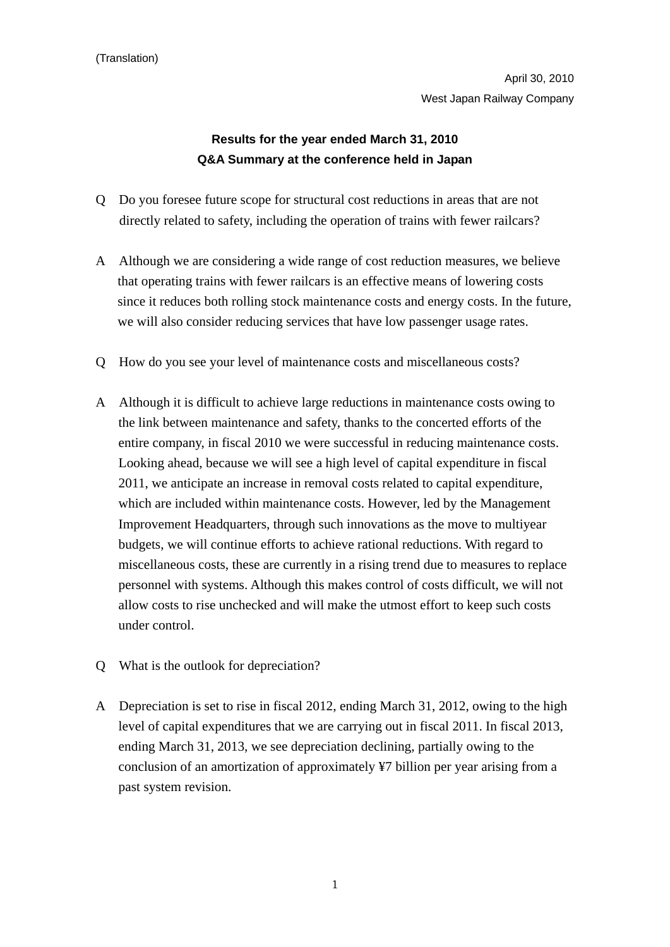April 30, 2010 West Japan Railway Company

## **Results for the year ended March 31, 2010 Q&A Summary at the conference held in Japan**

- Q Do you foresee future scope for structural cost reductions in areas that are not directly related to safety, including the operation of trains with fewer railcars?
- A Although we are considering a wide range of cost reduction measures, we believe that operating trains with fewer railcars is an effective means of lowering costs since it reduces both rolling stock maintenance costs and energy costs. In the future, we will also consider reducing services that have low passenger usage rates.
- Q How do you see your level of maintenance costs and miscellaneous costs?
- A Although it is difficult to achieve large reductions in maintenance costs owing to the link between maintenance and safety, thanks to the concerted efforts of the entire company, in fiscal 2010 we were successful in reducing maintenance costs. Looking ahead, because we will see a high level of capital expenditure in fiscal 2011, we anticipate an increase in removal costs related to capital expenditure, which are included within maintenance costs. However, led by the Management Improvement Headquarters, through such innovations as the move to multiyear budgets, we will continue efforts to achieve rational reductions. With regard to miscellaneous costs, these are currently in a rising trend due to measures to replace personnel with systems. Although this makes control of costs difficult, we will not allow costs to rise unchecked and will make the utmost effort to keep such costs under control.
- Q What is the outlook for depreciation?
- A Depreciation is set to rise in fiscal 2012, ending March 31, 2012, owing to the high level of capital expenditures that we are carrying out in fiscal 2011. In fiscal 2013, ending March 31, 2013, we see depreciation declining, partially owing to the conclusion of an amortization of approximately ¥7 billion per year arising from a past system revision.